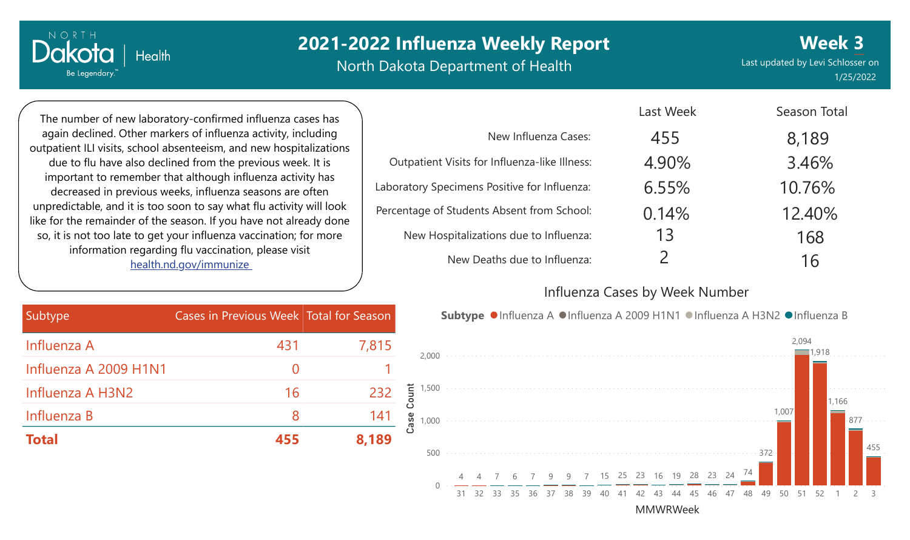# **2021-2022 Influenza Weekly Report**

North Dakota Department of Health

Last updated by Levi Schlosser on 1/25/2022 **Week 3**

The number of new laboratory-confirmed influenza cases has again declined. Other markers of influenza activity, including outpatient ILI visits, school absenteeism, and new hospitalizations due to flu have also declined from the previous week. It is important to remember that although influenza activity has decreased in previous weeks, influenza seasons are often unpredictable, and it is too soon to say what flu activity will look like for the remainder of the season. If you have not already done so, it is not too late to get your influenza vaccination; for more information regarding flu vaccination, please visit [health.nd.gov/immunize](http://health.nd.gov/immunize)

|                                               | Last Week     | Season Total |
|-----------------------------------------------|---------------|--------------|
| New Influenza Cases:                          | 455           | 8,189        |
| Outpatient Visits for Influenza-like Illness: | 4.90%         | 3.46%        |
| Laboratory Specimens Positive for Influenza:  | 6.55%         | 10.76%       |
| Percentage of Students Absent from School:    | 0.14%         | 12.40%       |
| New Hospitalizations due to Influenza:        | 13            | 168          |
| New Deaths due to Influenza:                  | $\mathcal{P}$ | 16           |

#### Influenza Cases by Week Number

Last Week

| Subtype ● Influenza A ● Influenza A 2009 H1N1 ● Influenza A H3N2 ● Influenza B |  |  |  |  |  |
|--------------------------------------------------------------------------------|--|--|--|--|--|
|--------------------------------------------------------------------------------|--|--|--|--|--|



| Subtype               | Cases in Previous Week Total for Season |       |
|-----------------------|-----------------------------------------|-------|
| Influenza A           | 431                                     | 7,815 |
| Influenza A 2009 H1N1 | $\left( \ \right)$                      |       |
| Influenza A H3N2      | 16                                      | 232   |
| Influenza B           | 8                                       | 141   |
| <b>Total</b>          | 455                                     | 8,189 |

NORTH Dakota **Health** Be Legendary.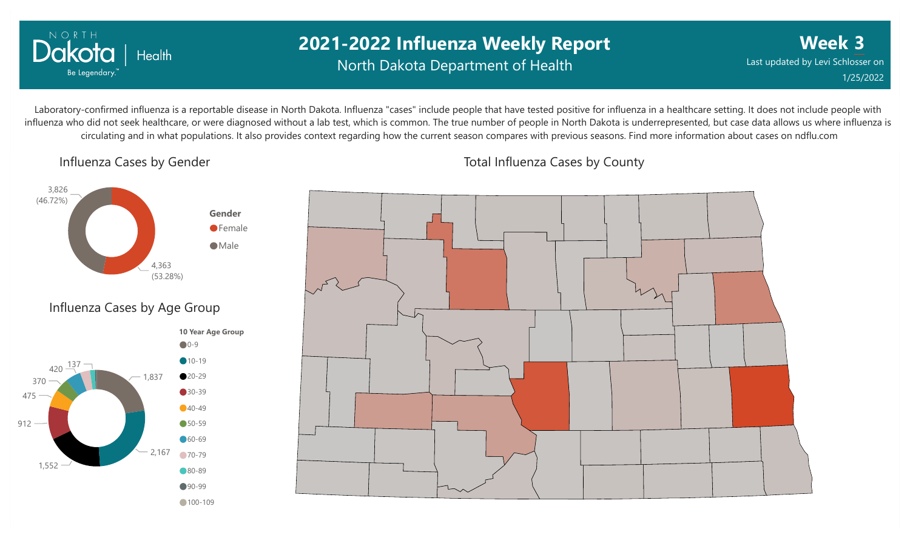

### **2021-2022 Influenza Weekly Report** North Dakota Department of Health

**Week 3** Last updated by Levi Schlosser on 1/25/2022

Laboratory-confirmed influenza is a reportable disease in North Dakota. Influenza "cases" include people that have tested positive for influenza in a healthcare setting. It does not include people with influenza who did not seek healthcare, or were diagnosed without a lab test, which is common. The true number of people in North Dakota is underrepresented, but case data allows us where influenza is circulating and in what populations. It also provides context regarding how the current season compares with previous seasons. Find more information about cases on ndflu.com

Influenza Cases by Gender





Total Influenza Cases by County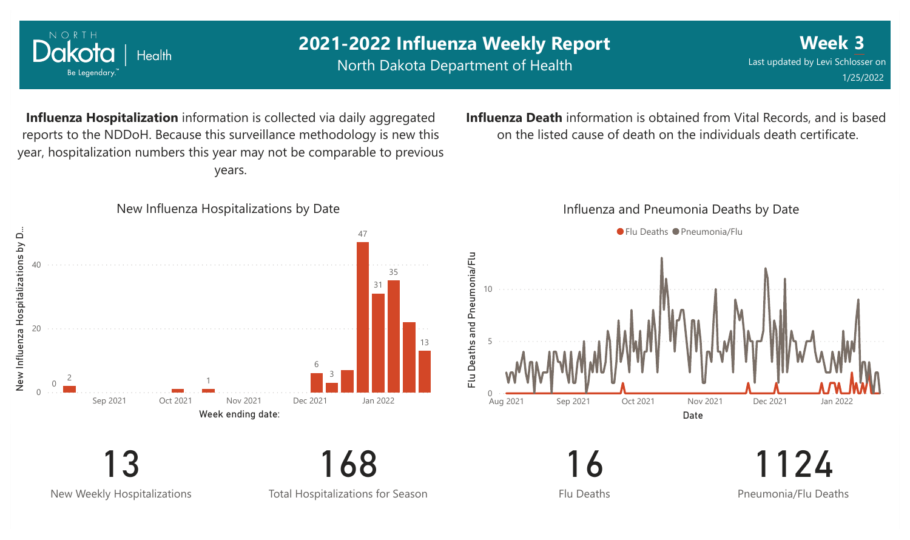

New Weekly Hospitalizations

Total Hospitalizations for Season

Flu Deaths

Pneumonia/Flu Deaths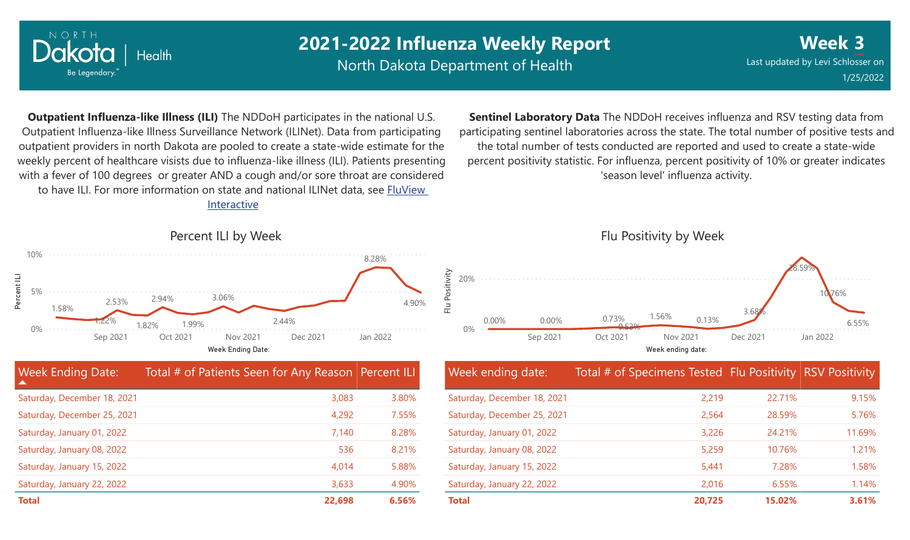

## **2021-2022 Influenza Weekly Report**

North Dakota Department of Health

**Week 3** Last updated by Levi Schlosser on 1/25/2022

**Outpatient Influenza-like Illness (ILI)** The NDDoH participates in the national U.S. Outpatient Influenza-like Illness Surveillance Network (ILINet). Data from participating outpatient providers in north Dakota are pooled to create a state-wide estimate for the weekly percent of healthcare visists due to influenza-like illness (ILI). Patients presenting with a fever of 100 degrees or greater AND a cough and/or sore throat are considered to have ILI. For more information [on state and national ILINet data, see FluView](http://fluview%20interactive/)

Interactive



| <b>Week Ending Date:</b><br>▲ | Total # of Patients Seen for Any Reason Percent ILI |       |
|-------------------------------|-----------------------------------------------------|-------|
| Saturday, December 18, 2021   | 3,083                                               | 3.80% |
| Saturday, December 25, 2021   | 4,292                                               | 7.55% |
| Saturday, January 01, 2022    | 7,140                                               | 8.28% |
| Saturday, January 08, 2022    | 536                                                 | 8.21% |
| Saturday, January 15, 2022    | 4,014                                               | 5.88% |
| Saturday, January 22, 2022    | 3,633                                               | 4.90% |
| <b>Total</b>                  | 22,698                                              | 6.56% |

**Sentinel Laboratory Data** The NDDoH receives influenza and RSV testing data from participating sentinel laboratories across the state. The total number of positive tests and the total number of tests conducted are reported and used to create a state-wide percent positivity statistic. For influenza, percent positivity of 10% or greater indicates 'season level' influenza activity.



| Week ending date:           | Total # of Specimens Tested Flu Positivity RSV Positivity |        |        |
|-----------------------------|-----------------------------------------------------------|--------|--------|
| Saturday, December 18, 2021 | 2,219                                                     | 22.71% | 9.15%  |
| Saturday, December 25, 2021 | 2,564                                                     | 28.59% | 5.76%  |
| Saturday, January 01, 2022  | 3,226                                                     | 24.21% | 11.69% |
| Saturday, January 08, 2022  | 5,259                                                     | 10.76% | 1.21%  |
| Saturday, January 15, 2022  | 5,441                                                     | 7.28%  | 1.58%  |
| Saturday, January 22, 2022  | 2,016                                                     | 6.55%  | 1.14%  |
| <b>Total</b>                | 20,725                                                    | 15.02% | 3.61%  |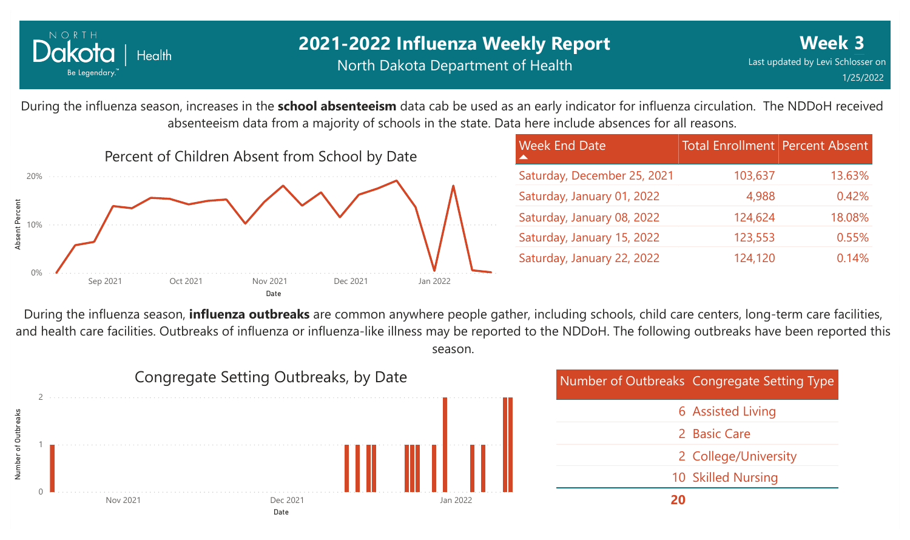

### **2021-2022 Influenza Weekly Report** North Dakota Department of Health

During the influenza season, increases in the **school absenteeism** data cab be used as an early indicator for influenza circulation. The NDDoH received absenteeism data from a majority of schools in the state. Data here include absences for all reasons.



| <b>Week End Date</b>        | <b>Total Enrollment Percent Absent</b> |        |
|-----------------------------|----------------------------------------|--------|
| Saturday, December 25, 2021 | 103,637                                | 13.63% |
| Saturday, January 01, 2022  | 4,988                                  | 0.42%  |
| Saturday, January 08, 2022  | 124,624                                | 18.08% |
| Saturday, January 15, 2022  | 123,553                                | 0.55%  |
| Saturday, January 22, 2022  | 124,120                                | 0.14%  |

During the influenza season, **influenza outbreaks** are common anywhere people gather, including schools, child care centers, long-term care facilities, and health care facilities. Outbreaks of influenza or influenza-like illness may be reported to the NDDoH. The following outbreaks have been reported this season.



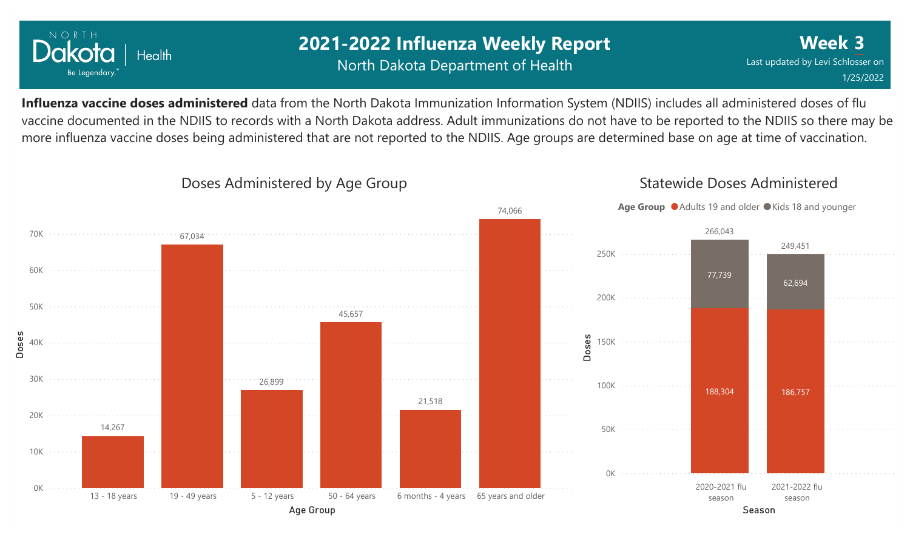

### **2021-2022 Influenza Weekly Report** North Dakota Department of Health

**Week 3** Last updated by Levi Schlosser on 1/25/2022

Statewide Doses Administered

**Influenza vaccine doses administered** data from the North Dakota Immunization Information System (NDIIS) includes all administered doses of flu vaccine documented in the NDIIS to records with a North Dakota address. Adult immunizations do not have to be reported to the NDIIS so there may be more influenza vaccine doses being administered that are not reported to the NDIIS. Age groups are determined base on age at time of vaccination.



#### Doses Administered by Age Group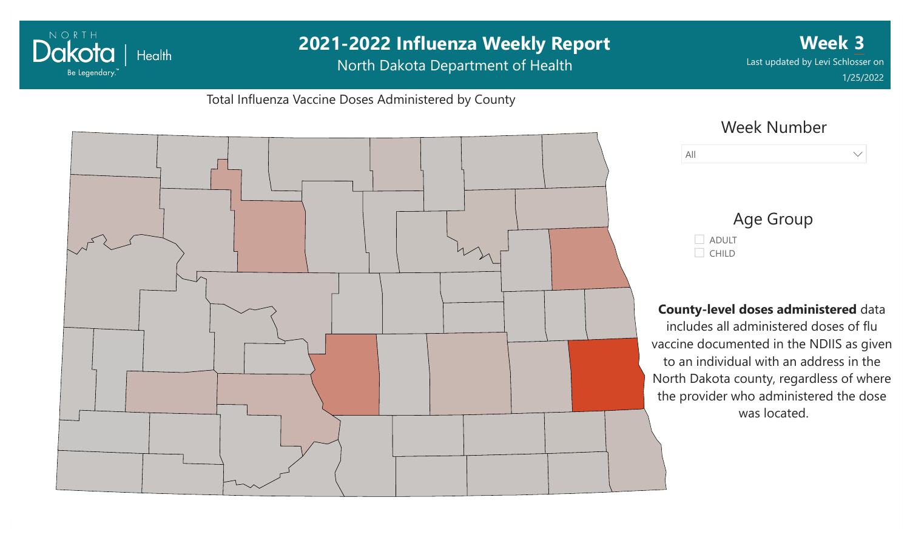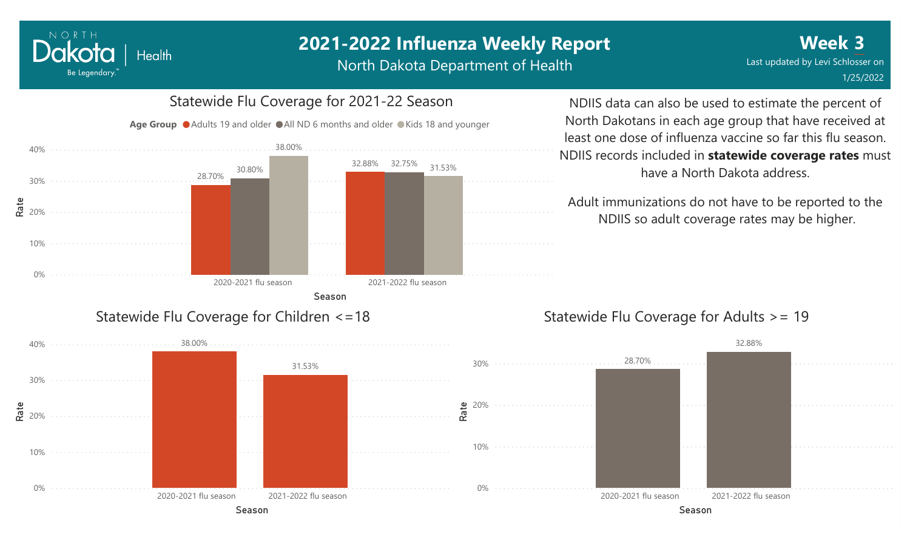#### NORTH Dakota **Health** Be Legendary.

# **2021-2022 Influenza Weekly Report**

North Dakota Department of Health



NDIIS data can also be used to estimate the percent of North Dakotans in each age group that have received at least one dose of influenza vaccine so far this flu season. NDIIS records included in **statewide coverage rates** must have a North Dakota address.

Adult immunizations do not have to be reported to the NDIIS so adult coverage rates may be higher.

### Statewide Flu Coverage for Adults >= 19